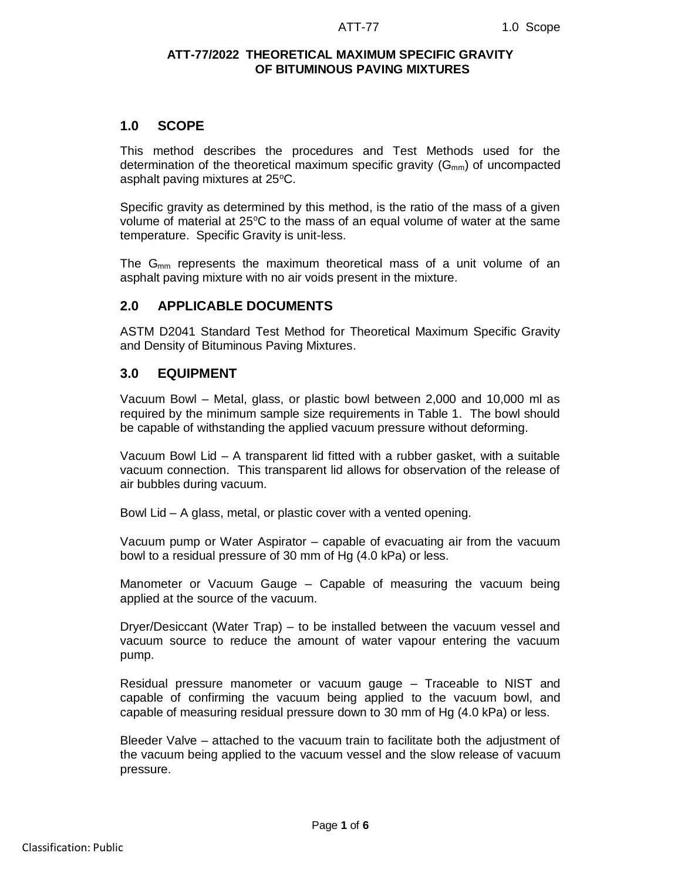### **ATT-77/2022 THEORETICAL MAXIMUM SPECIFIC GRAVITY OF BITUMINOUS PAVING MIXTURES**

## **1.0 SCOPE**

This method describes the procedures and Test Methods used for the determination of the theoretical maximum specific gravity  $(G_{mm})$  of uncompacted asphalt paving mixtures at 25°C.

Specific gravity as determined by this method, is the ratio of the mass of a given volume of material at  $25^{\circ}$ C to the mass of an equal volume of water at the same temperature. Specific Gravity is unit-less.

The  $G_{mm}$  represents the maximum theoretical mass of a unit volume of an asphalt paving mixture with no air voids present in the mixture.

## **2.0 APPLICABLE DOCUMENTS**

ASTM D2041 Standard Test Method for Theoretical Maximum Specific Gravity and Density of Bituminous Paving Mixtures.

## **3.0 EQUIPMENT**

Vacuum Bowl – Metal, glass, or plastic bowl between 2,000 and 10,000 ml as required by the minimum sample size requirements in Table 1. The bowl should be capable of withstanding the applied vacuum pressure without deforming.

Vacuum Bowl Lid – A transparent lid fitted with a rubber gasket, with a suitable vacuum connection. This transparent lid allows for observation of the release of air bubbles during vacuum.

Bowl Lid – A glass, metal, or plastic cover with a vented opening.

Vacuum pump or Water Aspirator – capable of evacuating air from the vacuum bowl to a residual pressure of 30 mm of Hg (4.0 kPa) or less.

Manometer or Vacuum Gauge – Capable of measuring the vacuum being applied at the source of the vacuum.

Dryer/Desiccant (Water Trap) – to be installed between the vacuum vessel and vacuum source to reduce the amount of water vapour entering the vacuum pump.

Residual pressure manometer or vacuum gauge – Traceable to NIST and capable of confirming the vacuum being applied to the vacuum bowl, and capable of measuring residual pressure down to 30 mm of Hg (4.0 kPa) or less.

Bleeder Valve – attached to the vacuum train to facilitate both the adjustment of the vacuum being applied to the vacuum vessel and the slow release of vacuum pressure.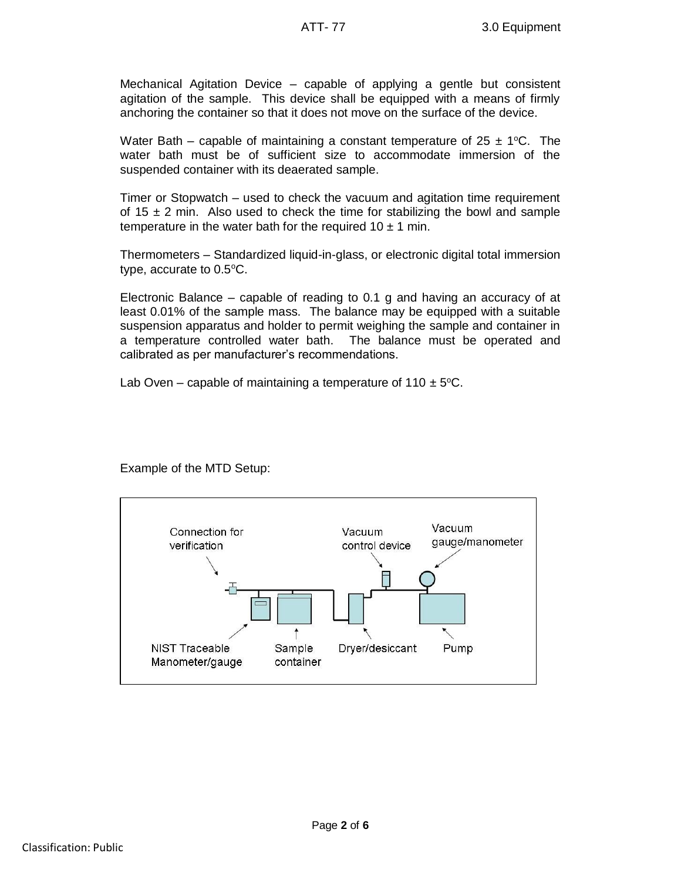Mechanical Agitation Device – capable of applying a gentle but consistent agitation of the sample. This device shall be equipped with a means of firmly anchoring the container so that it does not move on the surface of the device.

Water Bath – capable of maintaining a constant temperature of  $25 \pm 1$  °C. The water bath must be of sufficient size to accommodate immersion of the suspended container with its deaerated sample.

Timer or Stopwatch – used to check the vacuum and agitation time requirement of 15  $\pm$  2 min. Also used to check the time for stabilizing the bowl and sample temperature in the water bath for the required  $10 \pm 1$  min.

Thermometers – Standardized liquid-in-glass, or electronic digital total immersion type, accurate to  $0.5^{\circ}$ C.

Electronic Balance – capable of reading to 0.1 g and having an accuracy of at least 0.01% of the sample mass. The balance may be equipped with a suitable suspension apparatus and holder to permit weighing the sample and container in a temperature controlled water bath. The balance must be operated and calibrated as per manufacturer's recommendations.

Lab Oven – capable of maintaining a temperature of  $110 \pm 5^{\circ}$ C.



Example of the MTD Setup: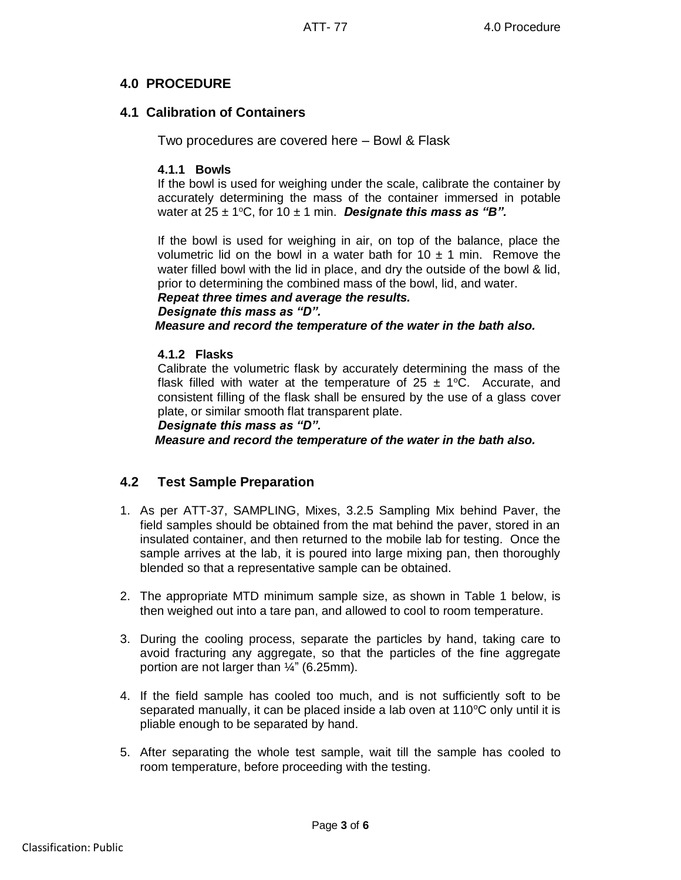# **4.0 PROCEDURE**

## **4.1 Calibration of Containers**

Two procedures are covered here – Bowl & Flask

## **4.1.1 Bowls**

If the bowl is used for weighing under the scale, calibrate the container by accurately determining the mass of the container immersed in potable water at  $25 \pm 1$ <sup>o</sup>C, for 10  $\pm$  1 min. **Designate this mass as "B".** 

If the bowl is used for weighing in air, on top of the balance, place the volumetric lid on the bowl in a water bath for  $10 \pm 1$  min. Remove the water filled bowl with the lid in place, and dry the outside of the bowl & lid, prior to determining the combined mass of the bowl, lid, and water.

#### *Repeat three times and average the results.*

### *Designate this mass as "D".*

*Measure and record the temperature of the water in the bath also.*

### **4.1.2 Flasks**

Calibrate the volumetric flask by accurately determining the mass of the flask filled with water at the temperature of  $25 \pm 1$ °C. Accurate, and consistent filling of the flask shall be ensured by the use of a glass cover plate, or similar smooth flat transparent plate.

#### *Designate this mass as "D".*

*Measure and record the temperature of the water in the bath also.*

## **4.2 Test Sample Preparation**

- 1. As per ATT-37, SAMPLING, Mixes, 3.2.5 Sampling Mix behind Paver, the field samples should be obtained from the mat behind the paver, stored in an insulated container, and then returned to the mobile lab for testing. Once the sample arrives at the lab, it is poured into large mixing pan, then thoroughly blended so that a representative sample can be obtained.
- 2. The appropriate MTD minimum sample size, as shown in Table 1 below, is then weighed out into a tare pan, and allowed to cool to room temperature.
- 3. During the cooling process, separate the particles by hand, taking care to avoid fracturing any aggregate, so that the particles of the fine aggregate portion are not larger than ¼" (6.25mm).
- 4. If the field sample has cooled too much, and is not sufficiently soft to be separated manually, it can be placed inside a lab oven at  $110^{\circ}$ C only until it is pliable enough to be separated by hand.
- 5. After separating the whole test sample, wait till the sample has cooled to room temperature, before proceeding with the testing.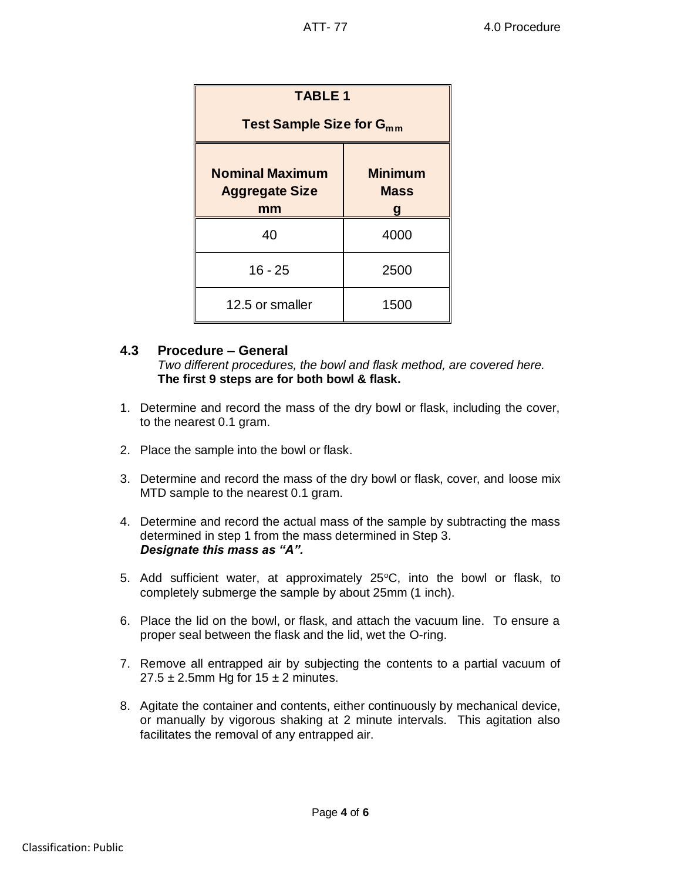| <b>TABLE 1</b>                                        |                                    |
|-------------------------------------------------------|------------------------------------|
| Test Sample Size for G <sub>mm</sub>                  |                                    |
| <b>Nominal Maximum</b><br><b>Aggregate Size</b><br>mm | <b>Minimum</b><br><b>Mass</b><br>g |
| 40                                                    | 4000                               |
| $16 - 25$                                             | 2500                               |
| 12.5 or smaller                                       | 1500                               |

## **4.3 Procedure – General**

*Two different procedures, the bowl and flask method, are covered here.*  **The first 9 steps are for both bowl & flask.**

- 1. Determine and record the mass of the dry bowl or flask, including the cover, to the nearest 0.1 gram.
- 2. Place the sample into the bowl or flask.
- 3. Determine and record the mass of the dry bowl or flask, cover, and loose mix MTD sample to the nearest 0.1 gram.
- 4. Determine and record the actual mass of the sample by subtracting the mass determined in step 1 from the mass determined in Step 3. *Designate this mass as "A".*
- 5. Add sufficient water, at approximately 25°C, into the bowl or flask, to completely submerge the sample by about 25mm (1 inch).
- 6. Place the lid on the bowl, or flask, and attach the vacuum line. To ensure a proper seal between the flask and the lid, wet the O-ring.
- 7. Remove all entrapped air by subjecting the contents to a partial vacuum of  $27.5 \pm 2.5$ mm Hg for  $15 \pm 2$  minutes.
- 8. Agitate the container and contents, either continuously by mechanical device, or manually by vigorous shaking at 2 minute intervals. This agitation also facilitates the removal of any entrapped air.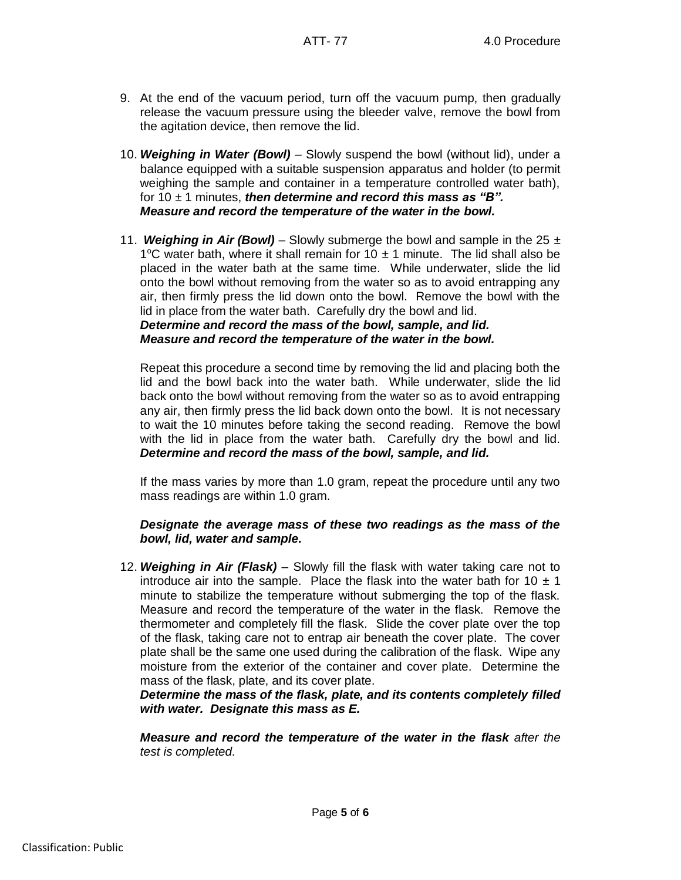- 9. At the end of the vacuum period, turn off the vacuum pump, then gradually release the vacuum pressure using the bleeder valve, remove the bowl from the agitation device, then remove the lid.
- 10. *Weighing in Water (Bowl)* Slowly suspend the bowl (without lid), under a balance equipped with a suitable suspension apparatus and holder (to permit weighing the sample and container in a temperature controlled water bath), for 10 ± 1 minutes, *then determine and record this mass as "B". Measure and record the temperature of the water in the bowl.*
- 11. **Weighing in Air (Bowl)** Slowly submerge the bowl and sample in the 25  $\pm$ 1°C water bath, where it shall remain for 10  $\pm$  1 minute. The lid shall also be placed in the water bath at the same time. While underwater, slide the lid onto the bowl without removing from the water so as to avoid entrapping any air, then firmly press the lid down onto the bowl. Remove the bowl with the lid in place from the water bath. Carefully dry the bowl and lid. *Determine and record the mass of the bowl, sample, and lid.*

*Measure and record the temperature of the water in the bowl.*

Repeat this procedure a second time by removing the lid and placing both the lid and the bowl back into the water bath. While underwater, slide the lid back onto the bowl without removing from the water so as to avoid entrapping any air, then firmly press the lid back down onto the bowl. It is not necessary to wait the 10 minutes before taking the second reading. Remove the bowl with the lid in place from the water bath. Carefully dry the bowl and lid. *Determine and record the mass of the bowl, sample, and lid.*

If the mass varies by more than 1.0 gram, repeat the procedure until any two mass readings are within 1.0 gram.

## *Designate the average mass of these two readings as the mass of the bowl, lid, water and sample.*

12. *Weighing in Air (Flask)* – Slowly fill the flask with water taking care not to introduce air into the sample. Place the flask into the water bath for 10  $\pm$  1 minute to stabilize the temperature without submerging the top of the flask. Measure and record the temperature of the water in the flask. Remove the thermometer and completely fill the flask. Slide the cover plate over the top of the flask, taking care not to entrap air beneath the cover plate. The cover plate shall be the same one used during the calibration of the flask. Wipe any moisture from the exterior of the container and cover plate. Determine the mass of the flask, plate, and its cover plate.

*Determine the mass of the flask, plate, and its contents completely filled with water. Designate this mass as E.*

*Measure and record the temperature of the water in the flask after the test is completed.*